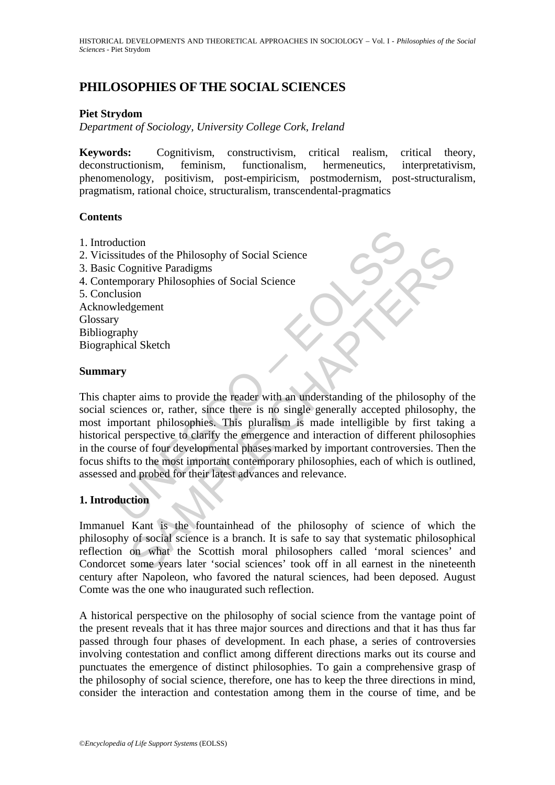# **PHILOSOPHIES OF THE SOCIAL SCIENCES**

# **Piet Strydom**

*Department of Sociology, University College Cork, Ireland* 

**Keywords:** Cognitivism, constructivism, critical realism, critical theory, deconstructionism, feminism, functionalism, hermeneutics, interpretativism, phenomenology, positivism, post-empiricism, postmodernism, post-structuralism, pragmatism, rational choice, structuralism, transcendental-pragmatics

#### **Contents**

- 1. Introduction
- 2. Vicissitudes of the Philosophy of Social Science
- 3. Basic Cognitive Paradigms
- 4. Contemporary Philosophies of Social Science
- 5. Conclusion
- Acknowledgement Glossary Bibliography Biographical Sketch

# **Summary**

duction<br>
situdes of the Philosophy of Social Science<br>
Cognitive Paradigms<br>
emporary Philosophies of Social Science<br>
lusion<br>
velogement<br>
very<br>
apter aims to provide the reader with an understanding of the ph<br>
ciences or, ra the of the Philosophy of Social Science<br>
delse of the Philosophy of Social Science<br>
signitive Paradigms<br>
igement<br>
the all Sketch<br>
stars there is no single generally accepted philosophy,<br>
that all Sketch<br>
there is no single This chapter aims to provide the reader with an understanding of the philosophy of the social sciences or, rather, since there is no single generally accepted philosophy, the most important philosophies. This pluralism is made intelligible by first taking a historical perspective to clarify the emergence and interaction of different philosophies in the course of four developmental phases marked by important controversies. Then the focus shifts to the most important contemporary philosophies, each of which is outlined, assessed and probed for their latest advances and relevance.

# **1. Introduction**

Immanuel Kant is the fountainhead of the philosophy of science of which the philosophy of social science is a branch. It is safe to say that systematic philosophical reflection on what the Scottish moral philosophers called 'moral sciences' and Condorcet some years later 'social sciences' took off in all earnest in the nineteenth century after Napoleon, who favored the natural sciences, had been deposed. August Comte was the one who inaugurated such reflection.

A historical perspective on the philosophy of social science from the vantage point of the present reveals that it has three major sources and directions and that it has thus far passed through four phases of development. In each phase, a series of controversies involving contestation and conflict among different directions marks out its course and punctuates the emergence of distinct philosophies. To gain a comprehensive grasp of the philosophy of social science, therefore, one has to keep the three directions in mind, consider the interaction and contestation among them in the course of time, and be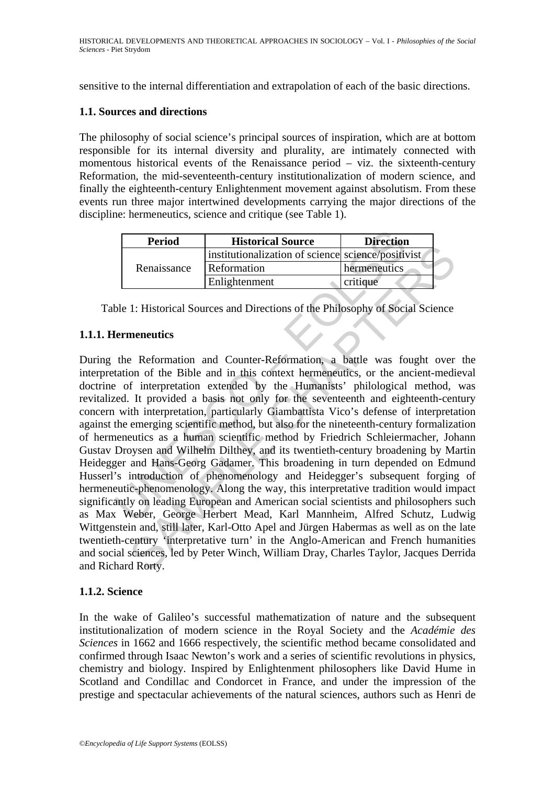sensitive to the internal differentiation and extrapolation of each of the basic directions.

# **1.1. Sources and directions**

The philosophy of social science's principal sources of inspiration, which are at bottom responsible for its internal diversity and plurality, are intimately connected with momentous historical events of the Renaissance period – viz. the sixteenth-century Reformation, the mid-seventeenth-century institutionalization of modern science, and finally the eighteenth-century Enlightenment movement against absolutism. From these events run three major intertwined developments carrying the major directions of the discipline: hermeneutics, science and critique (see Table 1).

| <b>Period</b> | <b>Historical Source</b>                           | <b>Direction</b> |
|---------------|----------------------------------------------------|------------------|
| Renaissance   | institutionalization of science science/positivist |                  |
|               | Reformation                                        | hermeneutics     |
|               | Enlightenment                                      | critique         |

Table 1: Historical Sources and Directions of the Philosophy of Social Science

## **1.1.1. Hermeneutics**

**Period Historical Source Direction**<br>
Institutionalization of science science/positive<br>
Renaissance **Reformation Exerce Exception**<br> **Exerce Except Follow Control**<br> **Exerce Except Follow Control**<br> **Exerce Exerce Alterna** Institutionalization of science science/positivity<br>
Renaissance Institutionalization of science science/positivity<br>
Renaissance Reformation<br>
Institutionalization of science science/positivity<br>
Renaissance Reformation<br>
Inst During the Reformation and Counter-Reformation, a battle was fought over the interpretation of the Bible and in this context hermeneutics, or the ancient-medieval doctrine of interpretation extended by the Humanists' philological method, was revitalized. It provided a basis not only for the seventeenth and eighteenth-century concern with interpretation, particularly Giambattista Vico's defense of interpretation against the emerging scientific method, but also for the nineteenth-century formalization of hermeneutics as a human scientific method by Friedrich Schleiermacher, Johann Gustav Droysen and Wilhelm Dilthey, and its twentieth-century broadening by Martin Heidegger and Hans-Georg Gadamer. This broadening in turn depended on Edmund Husserl's introduction of phenomenology and Heidegger's subsequent forging of hermeneutic-phenomenology. Along the way, this interpretative tradition would impact significantly on leading European and American social scientists and philosophers such as Max Weber, George Herbert Mead, Karl Mannheim, Alfred Schutz, Ludwig Wittgenstein and, still later, Karl-Otto Apel and Jürgen Habermas as well as on the late twentieth-century 'interpretative turn' in the Anglo-American and French humanities and social sciences, led by Peter Winch, William Dray, Charles Taylor, Jacques Derrida and Richard Rorty.

# **1.1.2. Science**

In the wake of Galileo's successful mathematization of nature and the subsequent institutionalization of modern science in the Royal Society and the *Académie des Sciences* in 1662 and 1666 respectively, the scientific method became consolidated and confirmed through Isaac Newton's work and a series of scientific revolutions in physics, chemistry and biology. Inspired by Enlightenment philosophers like David Hume in Scotland and Condillac and Condorcet in France, and under the impression of the prestige and spectacular achievements of the natural sciences, authors such as Henri de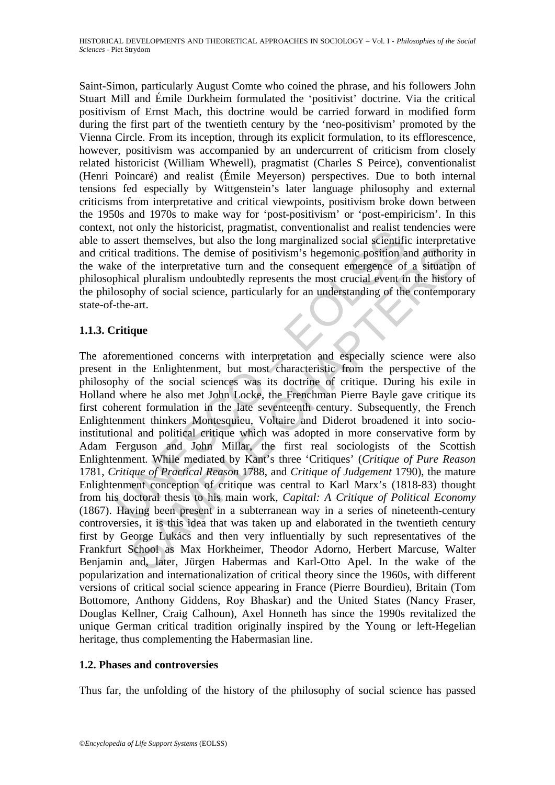Saint-Simon, particularly August Comte who coined the phrase, and his followers John Stuart Mill and Émile Durkheim formulated the 'positivist' doctrine. Via the critical positivism of Ernst Mach, this doctrine would be carried forward in modified form during the first part of the twentieth century by the 'neo-positivism' promoted by the Vienna Circle. From its inception, through its explicit formulation, to its efflorescence, however, positivism was accompanied by an undercurrent of criticism from closely related historicist (William Whewell), pragmatist (Charles S Peirce), conventionalist (Henri Poincaré) and realist (Émile Meyerson) perspectives. Due to both internal tensions fed especially by Wittgenstein's later language philosophy and external criticisms from interpretative and critical viewpoints, positivism broke down between the 1950s and 1970s to make way for 'post-positivism' or 'post-empiricism'. In this context, not only the historicist, pragmatist, conventionalist and realist tendencies were able to assert themselves, but also the long marginalized social scientific interpretative and critical traditions. The demise of positivism's hegemonic position and authority in the wake of the interpretative turn and the consequent emergence of a situation of philosophical pluralism undoubtedly represents the most crucial event in the history of the philosophy of social science, particularly for an understanding of the contemporary state-of-the-art.

# **1.1.3. Critique**

From the instortion to the may be interestingularized social scientifical traditions. The demise of positivism's hegemonic position are of the interpretative turn and the consequent emergence of the interpretative turn an It raditions. The demise of positivism's hegemonic position and authorities<br>of the interpretative turn and the consequent emergence of a situation<br>call pluralism undoubtedly represents the most crucial event in the histor The aforementioned concerns with interpretation and especially science were also present in the Enlightenment, but most characteristic from the perspective of the philosophy of the social sciences was its doctrine of critique. During his exile in Holland where he also met John Locke, the Frenchman Pierre Bayle gave critique its first coherent formulation in the late seventeenth century. Subsequently, the French Enlightenment thinkers Montesquieu, Voltaire and Diderot broadened it into socioinstitutional and political critique which was adopted in more conservative form by Adam Ferguson and John Millar, the first real sociologists of the Scottish Enlightenment. While mediated by Kant's three 'Critiques' (*Critique of Pure Reason* 1781, *Critique of Practical Reason* 1788, and *Critique of Judgement* 1790), the mature Enlightenment conception of critique was central to Karl Marx's (1818-83) thought from his doctoral thesis to his main work, *Capital: A Critique of Political Economy* (1867). Having been present in a subterranean way in a series of nineteenth-century controversies, it is this idea that was taken up and elaborated in the twentieth century first by George Lukács and then very influentially by such representatives of the Frankfurt School as Max Horkheimer, Theodor Adorno, Herbert Marcuse, Walter Benjamin and, later, Jürgen Habermas and Karl-Otto Apel. In the wake of the popularization and internationalization of critical theory since the 1960s, with different versions of critical social science appearing in France (Pierre Bourdieu), Britain (Tom Bottomore, Anthony Giddens, Roy Bhaskar) and the United States (Nancy Fraser, Douglas Kellner, Craig Calhoun), Axel Honneth has since the 1990s revitalized the unique German critical tradition originally inspired by the Young or left-Hegelian heritage, thus complementing the Habermasian line.

# **1.2. Phases and controversies**

Thus far, the unfolding of the history of the philosophy of social science has passed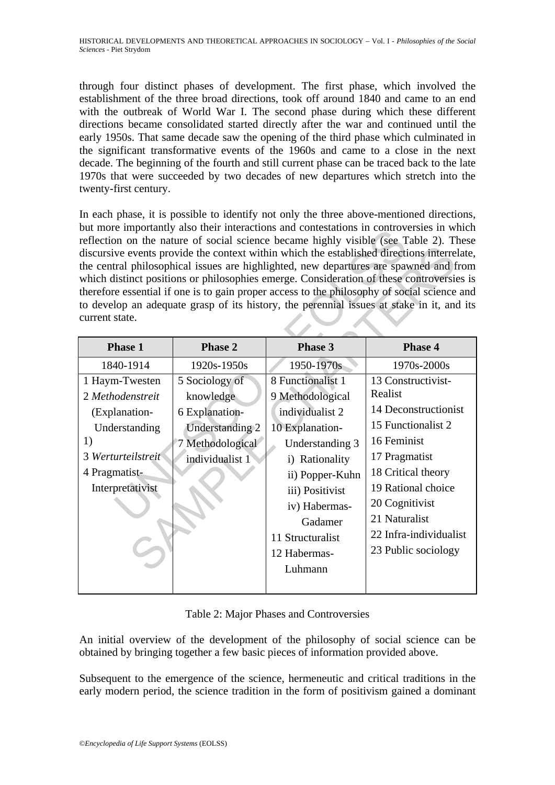through four distinct phases of development. The first phase, which involved the establishment of the three broad directions, took off around 1840 and came to an end with the outbreak of World War I. The second phase during which these different directions became consolidated started directly after the war and continued until the early 1950s. That same decade saw the opening of the third phase which culminated in the significant transformative events of the 1960s and came to a close in the next decade. The beginning of the fourth and still current phase can be traced back to the late 1970s that were succeeded by two decades of new departures which stretch into the twenty-first century.

In each phase, it is possible to identify not only the three above-mentioned directions, but more importantly also their interactions and contestations in controversies in which reflection on the nature of social science became highly visible (see Table 2). These discursive events provide the context within which the established directions interrelate, the central philosophical issues are highlighted, new departures are spawned and from which distinct positions or philosophies emerge. Consideration of these controversies is therefore essential if one is to gain proper access to the philosophy of social science and to develop an adequate grasp of its history, the perennial issues at stake in it, and its current state.

| but more importantly also their interactions and contestations in controversies in which<br>reflection on the nature of social science became highly visible (see Table 2). These<br>discursive events provide the context within which the established directions interrelate,<br>the central philosophical issues are highlighted, new departures are spawned and from<br>which distinct positions or philosophies emerge. Consideration of these controversies is<br>therefore essential if one is to gain proper access to the philosophy of social science and<br>to develop an adequate grasp of its history, the perennial issues at stake in it, and its<br>current state. |                        |                   |                        |  |  |  |  |  |  |
|------------------------------------------------------------------------------------------------------------------------------------------------------------------------------------------------------------------------------------------------------------------------------------------------------------------------------------------------------------------------------------------------------------------------------------------------------------------------------------------------------------------------------------------------------------------------------------------------------------------------------------------------------------------------------------|------------------------|-------------------|------------------------|--|--|--|--|--|--|
| <b>Phase 1</b>                                                                                                                                                                                                                                                                                                                                                                                                                                                                                                                                                                                                                                                                     | <b>Phase 2</b>         | <b>Phase 3</b>    | <b>Phase 4</b>         |  |  |  |  |  |  |
| 1840-1914                                                                                                                                                                                                                                                                                                                                                                                                                                                                                                                                                                                                                                                                          | 1920s-1950s            | 1950-1970s        | 1970s-2000s            |  |  |  |  |  |  |
| 1 Haym-Twesten                                                                                                                                                                                                                                                                                                                                                                                                                                                                                                                                                                                                                                                                     | 5 Sociology of         | 8 Functionalist 1 | 13 Constructivist-     |  |  |  |  |  |  |
| 2 Methodenstreit                                                                                                                                                                                                                                                                                                                                                                                                                                                                                                                                                                                                                                                                   | knowledge              | 9 Methodological  | Realist                |  |  |  |  |  |  |
| (Explanation-                                                                                                                                                                                                                                                                                                                                                                                                                                                                                                                                                                                                                                                                      | 6 Explanation-         | individualist 2   | 14 Deconstructionist   |  |  |  |  |  |  |
| Understanding                                                                                                                                                                                                                                                                                                                                                                                                                                                                                                                                                                                                                                                                      | <b>Understanding 2</b> | 10 Explanation-   | 15 Functionalist 2     |  |  |  |  |  |  |
| 1)                                                                                                                                                                                                                                                                                                                                                                                                                                                                                                                                                                                                                                                                                 | 7 Methodological       | Understanding 3   | 16 Feminist            |  |  |  |  |  |  |
| 3 Werturteilstreit                                                                                                                                                                                                                                                                                                                                                                                                                                                                                                                                                                                                                                                                 | individualist 1        | i) Rationality    | 17 Pragmatist          |  |  |  |  |  |  |
| 4 Pragmatist-                                                                                                                                                                                                                                                                                                                                                                                                                                                                                                                                                                                                                                                                      |                        | ii) Popper-Kuhn   | 18 Critical theory     |  |  |  |  |  |  |
| Interpretativist                                                                                                                                                                                                                                                                                                                                                                                                                                                                                                                                                                                                                                                                   |                        | iii) Positivist   | 19 Rational choice     |  |  |  |  |  |  |
|                                                                                                                                                                                                                                                                                                                                                                                                                                                                                                                                                                                                                                                                                    |                        | iv) Habermas-     | 20 Cognitivist         |  |  |  |  |  |  |
|                                                                                                                                                                                                                                                                                                                                                                                                                                                                                                                                                                                                                                                                                    |                        | Gadamer           | 21 Naturalist          |  |  |  |  |  |  |
|                                                                                                                                                                                                                                                                                                                                                                                                                                                                                                                                                                                                                                                                                    |                        | 11 Structuralist  | 22 Infra-individualist |  |  |  |  |  |  |
|                                                                                                                                                                                                                                                                                                                                                                                                                                                                                                                                                                                                                                                                                    |                        | 12 Habermas-      | 23 Public sociology    |  |  |  |  |  |  |
|                                                                                                                                                                                                                                                                                                                                                                                                                                                                                                                                                                                                                                                                                    |                        | Luhmann           |                        |  |  |  |  |  |  |
|                                                                                                                                                                                                                                                                                                                                                                                                                                                                                                                                                                                                                                                                                    |                        |                   |                        |  |  |  |  |  |  |

Table 2: Major Phases and Controversies

An initial overview of the development of the philosophy of social science can be obtained by bringing together a few basic pieces of information provided above.

Subsequent to the emergence of the science, hermeneutic and critical traditions in the early modern period, the science tradition in the form of positivism gained a dominant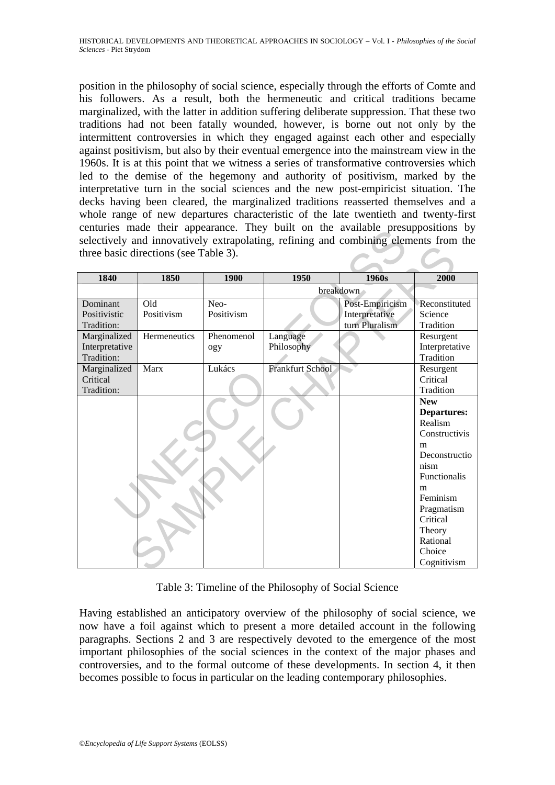position in the philosophy of social science, especially through the efforts of Comte and his followers. As a result, both the hermeneutic and critical traditions became marginalized, with the latter in addition suffering deliberate suppression. That these two traditions had not been fatally wounded, however, is borne out not only by the intermittent controversies in which they engaged against each other and especially against positivism, but also by their eventual emergence into the mainstream view in the 1960s. It is at this point that we witness a series of transformative controversies which led to the demise of the hegemony and authority of positivism, marked by the interpretative turn in the social sciences and the new post-empiricist situation. The decks having been cleared, the marginalized traditions reasserted themselves and a whole range of new departures characteristic of the late twentieth and twenty-first centuries made their appearance. They built on the available presuppositions by selectively and innovatively extrapolating, refining and combining elements from the three basic directions (see Table 3).

| centuries made their appearance. They built on the available presuppositions by<br>selectively and innovatively extrapolating, refining and combining elements from the<br>three basic directions (see Table 3). |                   |                    |                         |                                                     |                                                                                                                                                                                                      |  |  |  |
|------------------------------------------------------------------------------------------------------------------------------------------------------------------------------------------------------------------|-------------------|--------------------|-------------------------|-----------------------------------------------------|------------------------------------------------------------------------------------------------------------------------------------------------------------------------------------------------------|--|--|--|
| 1840                                                                                                                                                                                                             | 1850              | 1900               | 1950                    | 1960s                                               | 2000                                                                                                                                                                                                 |  |  |  |
|                                                                                                                                                                                                                  |                   |                    | breakdown               |                                                     |                                                                                                                                                                                                      |  |  |  |
| Dominant<br>Positivistic<br>Tradition:                                                                                                                                                                           | Old<br>Positivism | Neo-<br>Positivism |                         | Post-Empiricism<br>Interpretative<br>turn Pluralism | Reconstituted<br>Science<br>Tradition                                                                                                                                                                |  |  |  |
| Marginalized<br>Interpretative<br>Tradition:                                                                                                                                                                     | Hermeneutics      | Phenomenol<br>ogy  | Language<br>Philosophy  |                                                     | Resurgent<br>Interpretative<br>Tradition                                                                                                                                                             |  |  |  |
| Marginalized<br>Critical<br>Tradition:                                                                                                                                                                           | Marx              | Lukács             | <b>Frankfurt School</b> |                                                     | Resurgent<br>Critical<br>Tradition                                                                                                                                                                   |  |  |  |
|                                                                                                                                                                                                                  |                   |                    |                         |                                                     | <b>New</b><br><b>Departures:</b><br>Realism<br>Constructivis<br>m<br>Deconstructio<br>nism<br>Functionalis<br>m<br>Feminism<br>Pragmatism<br>Critical<br>Theory<br>Rational<br>Choice<br>Cognitivism |  |  |  |

Table 3: Timeline of the Philosophy of Social Science

Having established an anticipatory overview of the philosophy of social science, we now have a foil against which to present a more detailed account in the following paragraphs. Sections 2 and 3 are respectively devoted to the emergence of the most important philosophies of the social sciences in the context of the major phases and controversies, and to the formal outcome of these developments. In section 4, it then becomes possible to focus in particular on the leading contemporary philosophies.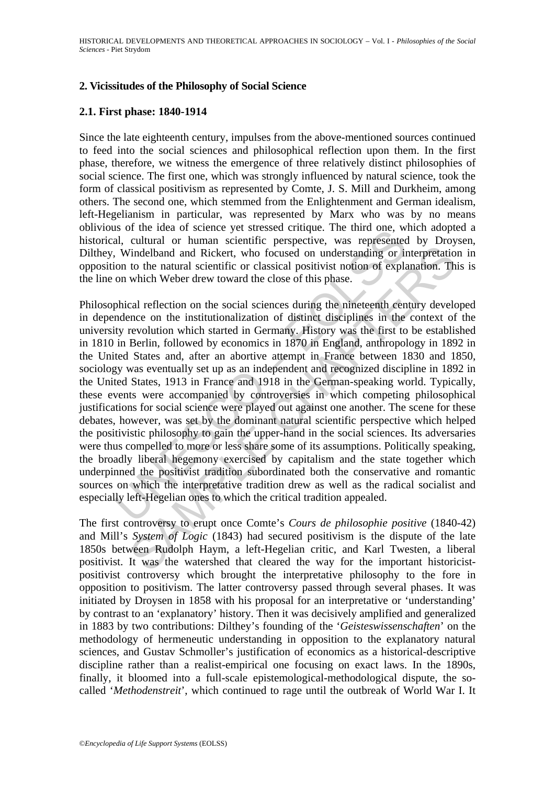# **2. Vicissitudes of the Philosophy of Social Science**

## **2.1. First phase: 1840-1914**

Since the late eighteenth century, impulses from the above-mentioned sources continued to feed into the social sciences and philosophical reflection upon them. In the first phase, therefore, we witness the emergence of three relatively distinct philosophies of social science. The first one, which was strongly influenced by natural science, took the form of classical positivism as represented by Comte, J. S. Mill and Durkheim, among others. The second one, which stemmed from the Enlightenment and German idealism, left-Hegelianism in particular, was represented by Marx who was by no means oblivious of the idea of science yet stressed critique. The third one, which adopted a historical, cultural or human scientific perspective, was represented by Droysen, Dilthey, Windelband and Rickert, who focused on understanding or interpretation in opposition to the natural scientific or classical positivist notion of explanation. This is the line on which Weber drew toward the close of this phase.

Is or in teach or sciente yet suessed curique. The final one, we<br>all, cultural or human scientific perspective, was represented.<br>
Windelband and Rickert, who focused on understanding or in<br>
ion to the natural scientific or indelband and Rickert, who focused on understanding or interpretatio<br>findelband and Rickert, who focused on understanding or interpretatio<br>to the natural scientific or classical positivist notion of explanation. The<br>which Philosophical reflection on the social sciences during the nineteenth century developed in dependence on the institutionalization of distinct disciplines in the context of the university revolution which started in Germany. History was the first to be established in 1810 in Berlin, followed by economics in 1870 in England, anthropology in 1892 in the United States and, after an abortive attempt in France between 1830 and 1850, sociology was eventually set up as an independent and recognized discipline in 1892 in the United States, 1913 in France and 1918 in the German-speaking world. Typically, these events were accompanied by controversies in which competing philosophical justifications for social science were played out against one another. The scene for these debates, however, was set by the dominant natural scientific perspective which helped the positivistic philosophy to gain the upper-hand in the social sciences. Its adversaries were thus compelled to more or less share some of its assumptions. Politically speaking, the broadly liberal hegemony exercised by capitalism and the state together which underpinned the positivist tradition subordinated both the conservative and romantic sources on which the interpretative tradition drew as well as the radical socialist and especially left-Hegelian ones to which the critical tradition appealed.

The first controversy to erupt once Comte's *Cours de philosophie positive* (1840-42) and Mill's *System of Logic* (1843) had secured positivism is the dispute of the late 1850s between Rudolph Haym, a left-Hegelian critic, and Karl Twesten, a liberal positivist. It was the watershed that cleared the way for the important historicistpositivist controversy which brought the interpretative philosophy to the fore in opposition to positivism. The latter controversy passed through several phases. It was initiated by Droysen in 1858 with his proposal for an interpretative or 'understanding' by contrast to an 'explanatory' history. Then it was decisively amplified and generalized in 1883 by two contributions: Dilthey's founding of the '*Geisteswissenschaften*' on the methodology of hermeneutic understanding in opposition to the explanatory natural sciences, and Gustav Schmoller's justification of economics as a historical-descriptive discipline rather than a realist-empirical one focusing on exact laws. In the 1890s, finally, it bloomed into a full-scale epistemological-methodological dispute, the socalled '*Methodenstreit*', which continued to rage until the outbreak of World War I. It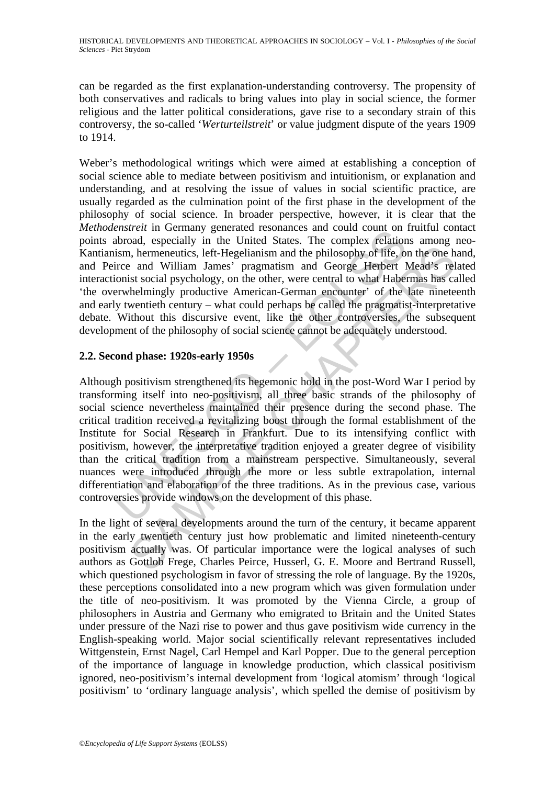can be regarded as the first explanation-understanding controversy. The propensity of both conservatives and radicals to bring values into play in social science, the former religious and the latter political considerations, gave rise to a secondary strain of this controversy, the so-called '*Werturteilstreit*' or value judgment dispute of the years 1909 to 1914.

Weber's methodological writings which were aimed at establishing a conception of social science able to mediate between positivism and intuitionism, or explanation and understanding, and at resolving the issue of values in social scientific practice, are usually regarded as the culmination point of the first phase in the development of the philosophy of social science. In broader perspective, however, it is clear that the *Methodenstreit* in Germany generated resonances and could count on fruitful contact points abroad, especially in the United States. The complex relations among neo-Kantianism, hermeneutics, left-Hegelianism and the philosophy of life, on the one hand, and Peirce and William James' pragmatism and George Herbert Mead's related interactionist social psychology, on the other, were central to what Habermas has called 'the overwhelmingly productive American-German encounter' of the late nineteenth and early twentieth century – what could perhaps be called the pragmatist-interpretative debate. Without this discursive event, like the other controversies, the subsequent development of the philosophy of social science cannot be adequately understood.

# **2.2. Second phase: 1920s-early 1950s**

*ensireu* in Gerinaly generated resonances and count on<br>abroad, especially in the United States. The complex relation<br>ism, hermeneutics, left-Hegelianism and the philosophy of life, on<br>irce and William James' pragmatism an n, hermeneutics, left-Hegelianism and the philosophy of life, on the one h<br>and William James' pragmatism and the philosophy of life, on the one h<br>and William James' pragmatism and George Herbert Mead's relative<br>helmingly p Although positivism strengthened its hegemonic hold in the post-Word War I period by transforming itself into neo-positivism, all three basic strands of the philosophy of social science nevertheless maintained their presence during the second phase. The critical tradition received a revitalizing boost through the formal establishment of the Institute for Social Research in Frankfurt. Due to its intensifying conflict with positivism, however, the interpretative tradition enjoyed a greater degree of visibility than the critical tradition from a mainstream perspective. Simultaneously, several nuances were introduced through the more or less subtle extrapolation, internal differentiation and elaboration of the three traditions. As in the previous case, various controversies provide windows on the development of this phase.

In the light of several developments around the turn of the century, it became apparent in the early twentieth century just how problematic and limited nineteenth-century positivism actually was. Of particular importance were the logical analyses of such authors as Gottlob Frege, Charles Peirce, Husserl, G. E. Moore and Bertrand Russell, which questioned psychologism in favor of stressing the role of language. By the 1920s, these perceptions consolidated into a new program which was given formulation under the title of neo-positivism. It was promoted by the Vienna Circle, a group of philosophers in Austria and Germany who emigrated to Britain and the United States under pressure of the Nazi rise to power and thus gave positivism wide currency in the English-speaking world. Major social scientifically relevant representatives included Wittgenstein, Ernst Nagel, Carl Hempel and Karl Popper. Due to the general perception of the importance of language in knowledge production, which classical positivism ignored, neo-positivism's internal development from 'logical atomism' through 'logical positivism' to 'ordinary language analysis', which spelled the demise of positivism by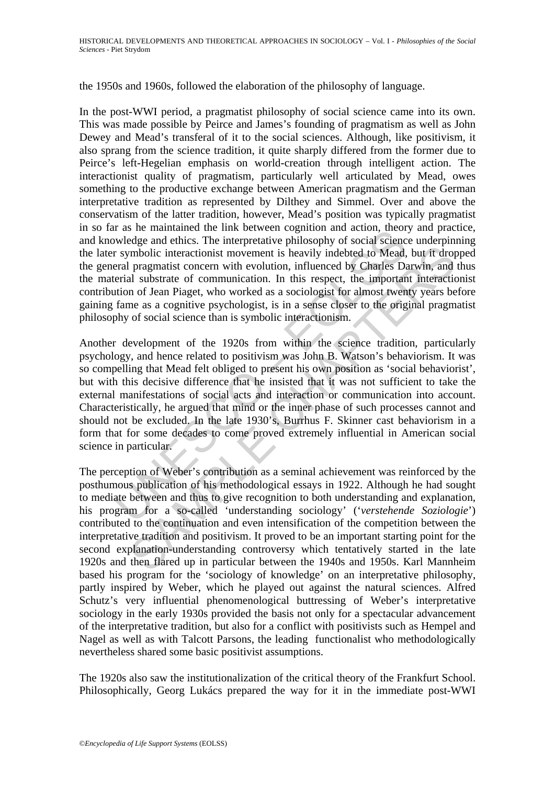the 1950s and 1960s, followed the elaboration of the philosophy of language.

In the post-WWI period, a pragmatist philosophy of social science came into its own. This was made possible by Peirce and James's founding of pragmatism as well as John Dewey and Mead's transferal of it to the social sciences. Although, like positivism, it also sprang from the science tradition, it quite sharply differed from the former due to Peirce's left-Hegelian emphasis on world-creation through intelligent action. The interactionist quality of pragmatism, particularly well articulated by Mead, owes something to the productive exchange between American pragmatism and the German interpretative tradition as represented by Dilthey and Simmel. Over and above the conservatism of the latter tradition, however, Mead's position was typically pragmatist in so far as he maintained the link between cognition and action, theory and practice, and knowledge and ethics. The interpretative philosophy of social science underpinning the later symbolic interactionist movement is heavily indebted to Mead, but it dropped the general pragmatist concern with evolution, influenced by Charles Darwin, and thus the material substrate of communication. In this respect, the important interactionist contribution of Jean Piaget, who worked as a sociologist for almost twenty years before gaining fame as a cognitive psychologist, is in a sense closer to the original pragmatist philosophy of social science than is symbolic interactionism.

as he infinited un time between togintum and action, nevoted by the solution with a solution and action, nevoted and entirect symbolic interactionist movement is heavily indebted to Mead, real pragmatist concern with evolu mobile interactions movement is heavily indebted to Mead, but it drop<br>mbolic interactions movement is heavily indebted to Mead, but it drop<br>pragmatist concern with evolution, influenced by Charles Darwin, and<br>al a ubstrate Another development of the 1920s from within the science tradition, particularly psychology, and hence related to positivism was John B. Watson's behaviorism. It was so compelling that Mead felt obliged to present his own position as 'social behaviorist', but with this decisive difference that he insisted that it was not sufficient to take the external manifestations of social acts and interaction or communication into account. Characteristically, he argued that mind or the inner phase of such processes cannot and should not be excluded. In the late 1930's, Burrhus F. Skinner cast behaviorism in a form that for some decades to come proved extremely influential in American social science in particular.

The perception of Weber's contribution as a seminal achievement was reinforced by the posthumous publication of his methodological essays in 1922. Although he had sought to mediate between and thus to give recognition to both understanding and explanation, his program for a so-called 'understanding sociology' ('*verstehende Soziologie*') contributed to the continuation and even intensification of the competition between the interpretative tradition and positivism. It proved to be an important starting point for the second explanation-understanding controversy which tentatively started in the late 1920s and then flared up in particular between the 1940s and 1950s. Karl Mannheim based his program for the 'sociology of knowledge' on an interpretative philosophy, partly inspired by Weber, which he played out against the natural sciences. Alfred Schutz's very influential phenomenological buttressing of Weber's interpretative sociology in the early 1930s provided the basis not only for a spectacular advancement of the interpretative tradition, but also for a conflict with positivists such as Hempel and Nagel as well as with Talcott Parsons, the leading functionalist who methodologically nevertheless shared some basic positivist assumptions.

The 1920s also saw the institutionalization of the critical theory of the Frankfurt School. Philosophically, Georg Lukács prepared the way for it in the immediate post-WWI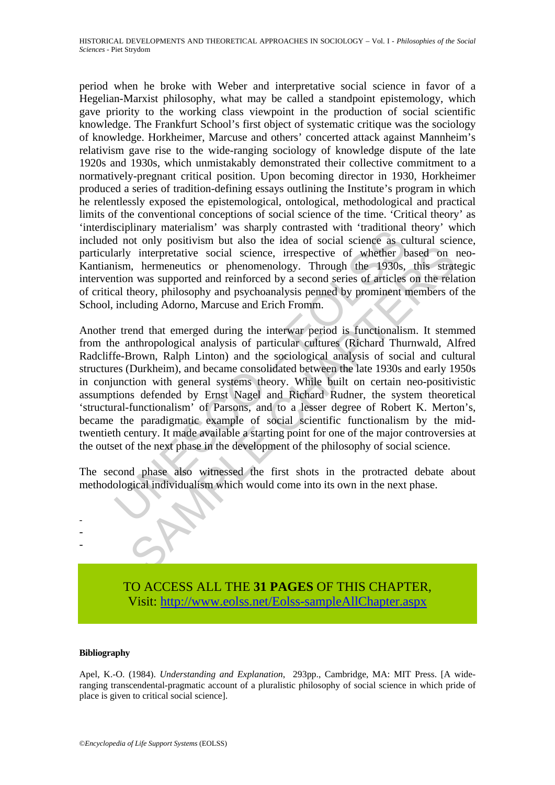period when he broke with Weber and interpretative social science in favor of a Hegelian-Marxist philosophy, what may be called a standpoint epistemology, which gave priority to the working class viewpoint in the production of social scientific knowledge. The Frankfurt School's first object of systematic critique was the sociology of knowledge. Horkheimer, Marcuse and others' concerted attack against Mannheim's relativism gave rise to the wide-ranging sociology of knowledge dispute of the late 1920s and 1930s, which unmistakably demonstrated their collective commitment to a normatively-pregnant critical position. Upon becoming director in 1930, Horkheimer produced a series of tradition-defining essays outlining the Institute's program in which he relentlessly exposed the epistemological, ontological, methodological and practical limits of the conventional conceptions of social science of the time. 'Critical theory' as 'interdisciplinary materialism' was sharply contrasted with 'traditional theory' which included not only positivism but also the idea of social science as cultural science, particularly interpretative social science, irrespective of whether based on neo-Kantianism, hermeneutics or phenomenology. Through the 1930s, this strategic intervention was supported and reinforced by a second series of articles on the relation of critical theory, philosophy and psychoanalysis penned by prominent members of the School, including Adorno, Marcuse and Erich Fromm.

Supplied To the main and Supply contracted with diamonal main and any interesting in the dial of only positivism but also the idea of social science as carly interpretative social science, irrespective of whether bism, her Transmission in the photometric social science, irrespective of whether based on a hermeneutics or phenomenology. Through the 1930s, this strated and terrical or phenomenology. Through the 1930s, this strated may asympored Another trend that emerged during the interwar period is functionalism. It stemmed from the anthropological analysis of particular cultures (Richard Thurnwald, Alfred Radcliffe-Brown, Ralph Linton) and the sociological analysis of social and cultural structures (Durkheim), and became consolidated between the late 1930s and early 1950s in conjunction with general systems theory. While built on certain neo-positivistic assumptions defended by Ernst Nagel and Richard Rudner, the system theoretical 'structural-functionalism' of Parsons, and to a lesser degree of Robert K. Merton's, became the paradigmatic example of social scientific functionalism by the midtwentieth century. It made available a starting point for one of the major controversies at the outset of the next phase in the development of the philosophy of social science.

The second phase also witnessed the first shots in the protracted debate about methodological individualism which would come into its own in the next phase.



#### **Bibliography**

- - -

Apel, K.-O. (1984). *Understanding and Explanation*, 293pp., Cambridge, MA: MIT Press. [A wideranging transcendental-pragmatic account of a pluralistic philosophy of social science in which pride of place is given to critical social science].